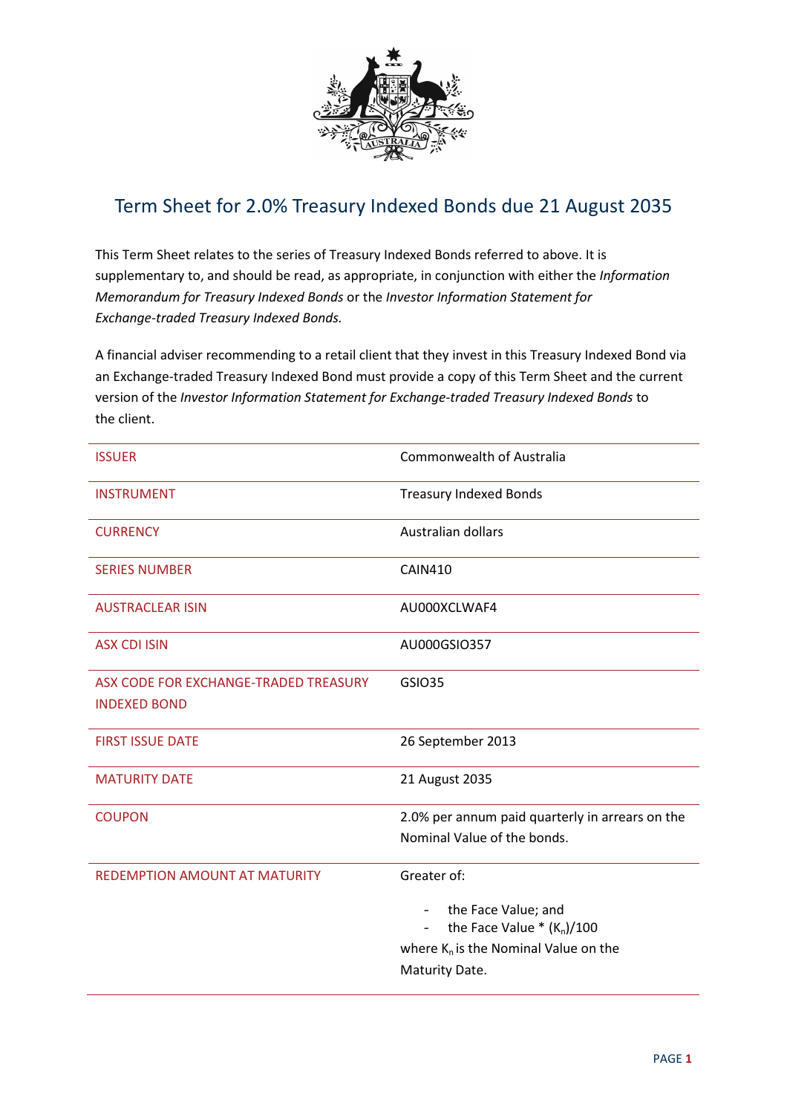

## Term Sheet for 2.0% Treasury Indexed Bonds due 21 August 2035

This Term Sheet relates to the series of Treasury Indexed Bonds referred to above. It is supplementary to, and should be read, as appropriate, in conjunction with either the Information Memorandum for Treasury Indexed Bonds or the Investor Information Statement for Exchange-traded Treasury Indexed Bonds.

A financial adviser recommending to a retail client that they invest in this Treasury Indexed Bond via an Exchange-traded Treasury Indexed Bond must provide a copy of this Term Sheet and the current version of the Investor Information Statement for Exchange-traded Treasury Indexed Bonds to the client.

| <b>ISSUER</b>                                                | <b>Commonwealth of Australia</b>                        |
|--------------------------------------------------------------|---------------------------------------------------------|
| <b>INSTRUMENT</b>                                            | <b>Treasury Indexed Bonds</b>                           |
| <b>CURRENCY</b>                                              | Australian dollars                                      |
| <b>SERIES NUMBER</b>                                         | <b>CAIN410</b>                                          |
| <b>AUSTRACLEAR ISIN</b>                                      | AU000XCLWAF4                                            |
| <b>ASX CDI ISIN</b>                                          | AU000GSIO357                                            |
| ASX CODE FOR EXCHANGE-TRADED TREASURY<br><b>INDEXED BOND</b> | <b>GSIO35</b>                                           |
|                                                              |                                                         |
| <b>FIRST ISSUE DATE</b>                                      | 26 September 2013                                       |
| <b>MATURITY DATE</b>                                         | 21 August 2035                                          |
| <b>COUPON</b>                                                | 2.0% per annum paid quarterly in arrears on the         |
|                                                              | Nominal Value of the bonds.                             |
| <b>REDEMPTION AMOUNT AT MATURITY</b>                         | Greater of:                                             |
|                                                              | the Face Value; and<br>$\sim$                           |
|                                                              | the Face Value $*(K_n)/100$<br>$\overline{\phantom{0}}$ |
|                                                              | where $K_n$ is the Nominal Value on the                 |
|                                                              | Maturity Date.                                          |